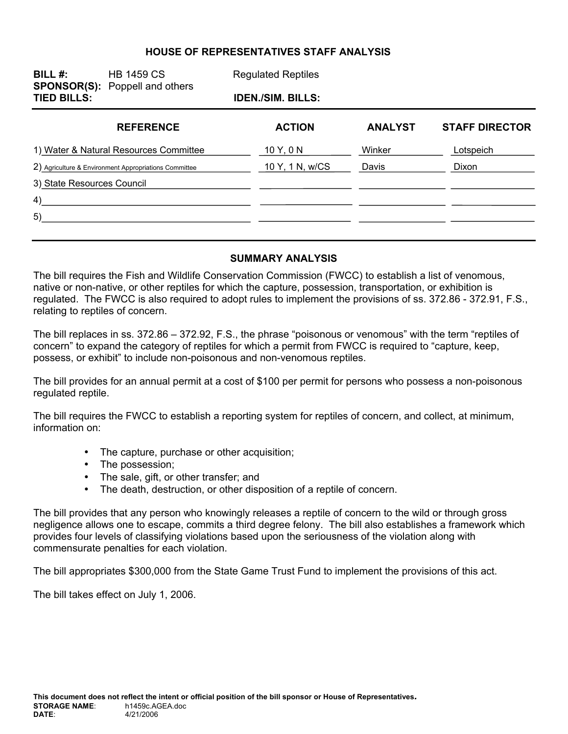# **HOUSE OF REPRESENTATIVES STAFF ANALYSIS**

| BILL $#$ :                                            | <b>HB 1459 CS</b><br><b>SPONSOR(S):</b> Poppell and others | <b>Regulated Reptiles</b> |                |                       |  |
|-------------------------------------------------------|------------------------------------------------------------|---------------------------|----------------|-----------------------|--|
| <b>TIED BILLS:</b>                                    |                                                            | <b>IDEN./SIM. BILLS:</b>  |                |                       |  |
|                                                       | <b>REFERENCE</b>                                           | <b>ACTION</b>             | <b>ANALYST</b> | <b>STAFF DIRECTOR</b> |  |
| 1) Water & Natural Resources Committee                |                                                            | 10 Y, 0 N                 | Winker         | Lotspeich             |  |
| 2) Agriculture & Environment Appropriations Committee |                                                            | 10 Y, 1 N, w/CS           | Davis          | Dixon                 |  |
| 3) State Resources Council                            |                                                            |                           |                |                       |  |
| 4)                                                    |                                                            |                           |                |                       |  |
| 5)                                                    |                                                            |                           |                |                       |  |
|                                                       |                                                            |                           |                |                       |  |

#### **SUMMARY ANALYSIS**

The bill requires the Fish and Wildlife Conservation Commission (FWCC) to establish a list of venomous, native or non-native, or other reptiles for which the capture, possession, transportation, or exhibition is regulated. The FWCC is also required to adopt rules to implement the provisions of ss. 372.86 - 372.91, F.S., relating to reptiles of concern.

The bill replaces in ss. 372.86 – 372.92, F.S., the phrase "poisonous or venomous" with the term "reptiles of concern" to expand the category of reptiles for which a permit from FWCC is required to "capture, keep, possess, or exhibit" to include non-poisonous and non-venomous reptiles.

The bill provides for an annual permit at a cost of \$100 per permit for persons who possess a non-poisonous regulated reptile.

The bill requires the FWCC to establish a reporting system for reptiles of concern, and collect, at minimum, information on:

- The capture, purchase or other acquisition;
- The possession;
- The sale, gift, or other transfer; and
- The death, destruction, or other disposition of a reptile of concern.

The bill provides that any person who knowingly releases a reptile of concern to the wild or through gross negligence allows one to escape, commits a third degree felony. The bill also establishes a framework which provides four levels of classifying violations based upon the seriousness of the violation along with commensurate penalties for each violation.

The bill appropriates \$300,000 from the State Game Trust Fund to implement the provisions of this act.

The bill takes effect on July 1, 2006.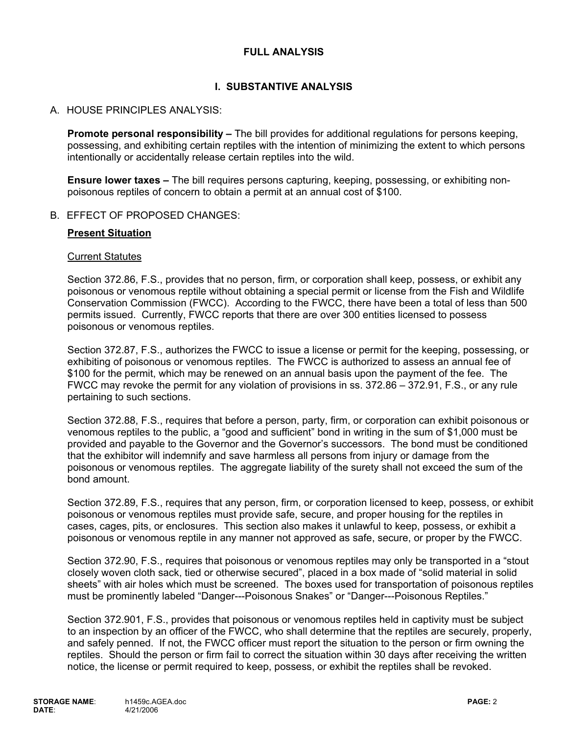# **FULL ANALYSIS**

# **I. SUBSTANTIVE ANALYSIS**

### A. HOUSE PRINCIPLES ANALYSIS:

**Promote personal responsibility –** The bill provides for additional regulations for persons keeping, possessing, and exhibiting certain reptiles with the intention of minimizing the extent to which persons intentionally or accidentally release certain reptiles into the wild.

**Ensure lower taxes –** The bill requires persons capturing, keeping, possessing, or exhibiting nonpoisonous reptiles of concern to obtain a permit at an annual cost of \$100.

### B. EFFECT OF PROPOSED CHANGES:

### **Present Situation**

#### Current Statutes

Section 372.86, F.S., provides that no person, firm, or corporation shall keep, possess, or exhibit any poisonous or venomous reptile without obtaining a special permit or license from the Fish and Wildlife Conservation Commission (FWCC). According to the FWCC, there have been a total of less than 500 permits issued. Currently, FWCC reports that there are over 300 entities licensed to possess poisonous or venomous reptiles.

Section 372.87, F.S., authorizes the FWCC to issue a license or permit for the keeping, possessing, or exhibiting of poisonous or venomous reptiles. The FWCC is authorized to assess an annual fee of \$100 for the permit, which may be renewed on an annual basis upon the payment of the fee. The FWCC may revoke the permit for any violation of provisions in ss. 372.86 – 372.91, F.S., or any rule pertaining to such sections.

Section 372.88, F.S., requires that before a person, party, firm, or corporation can exhibit poisonous or venomous reptiles to the public, a "good and sufficient" bond in writing in the sum of \$1,000 must be provided and payable to the Governor and the Governor's successors. The bond must be conditioned that the exhibitor will indemnify and save harmless all persons from injury or damage from the poisonous or venomous reptiles. The aggregate liability of the surety shall not exceed the sum of the bond amount.

Section 372.89, F.S., requires that any person, firm, or corporation licensed to keep, possess, or exhibit poisonous or venomous reptiles must provide safe, secure, and proper housing for the reptiles in cases, cages, pits, or enclosures. This section also makes it unlawful to keep, possess, or exhibit a poisonous or venomous reptile in any manner not approved as safe, secure, or proper by the FWCC.

Section 372.90, F.S., requires that poisonous or venomous reptiles may only be transported in a "stout closely woven cloth sack, tied or otherwise secured", placed in a box made of "solid material in solid sheets" with air holes which must be screened. The boxes used for transportation of poisonous reptiles must be prominently labeled "Danger---Poisonous Snakes" or "Danger---Poisonous Reptiles."

Section 372.901, F.S., provides that poisonous or venomous reptiles held in captivity must be subject to an inspection by an officer of the FWCC, who shall determine that the reptiles are securely, properly, and safely penned. If not, the FWCC officer must report the situation to the person or firm owning the reptiles. Should the person or firm fail to correct the situation within 30 days after receiving the written notice, the license or permit required to keep, possess, or exhibit the reptiles shall be revoked.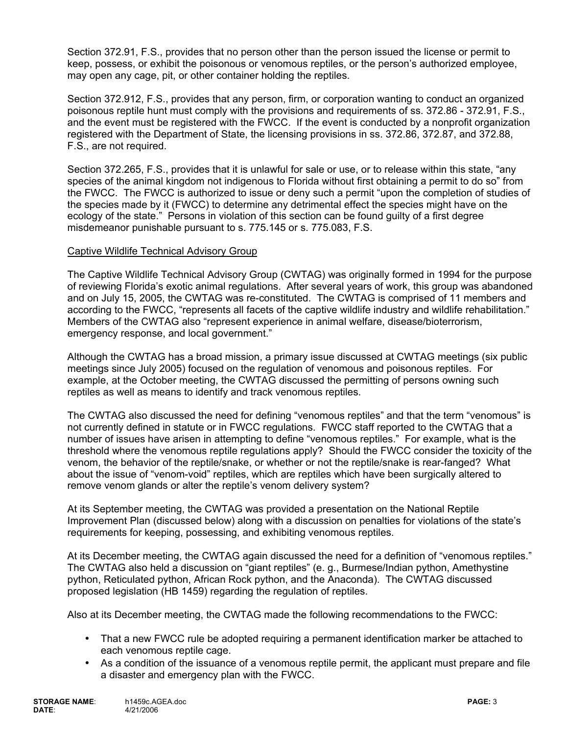Section 372.91, F.S., provides that no person other than the person issued the license or permit to keep, possess, or exhibit the poisonous or venomous reptiles, or the person's authorized employee, may open any cage, pit, or other container holding the reptiles.

Section 372.912, F.S., provides that any person, firm, or corporation wanting to conduct an organized poisonous reptile hunt must comply with the provisions and requirements of ss. 372.86 - 372.91, F.S., and the event must be registered with the FWCC. If the event is conducted by a nonprofit organization registered with the Department of State, the licensing provisions in ss. 372.86, 372.87, and 372.88, F.S., are not required.

Section 372.265, F.S., provides that it is unlawful for sale or use, or to release within this state, "any species of the animal kingdom not indigenous to Florida without first obtaining a permit to do so" from the FWCC. The FWCC is authorized to issue or deny such a permit "upon the completion of studies of the species made by it (FWCC) to determine any detrimental effect the species might have on the ecology of the state." Persons in violation of this section can be found guilty of a first degree misdemeanor punishable pursuant to s. 775.145 or s. 775.083, F.S.

### Captive Wildlife Technical Advisory Group

The Captive Wildlife Technical Advisory Group (CWTAG) was originally formed in 1994 for the purpose of reviewing Florida's exotic animal regulations. After several years of work, this group was abandoned and on July 15, 2005, the CWTAG was re-constituted. The CWTAG is comprised of 11 members and according to the FWCC, "represents all facets of the captive wildlife industry and wildlife rehabilitation." Members of the CWTAG also "represent experience in animal welfare, disease/bioterrorism, emergency response, and local government."

Although the CWTAG has a broad mission, a primary issue discussed at CWTAG meetings (six public meetings since July 2005) focused on the regulation of venomous and poisonous reptiles. For example, at the October meeting, the CWTAG discussed the permitting of persons owning such reptiles as well as means to identify and track venomous reptiles.

The CWTAG also discussed the need for defining "venomous reptiles" and that the term "venomous" is not currently defined in statute or in FWCC regulations. FWCC staff reported to the CWTAG that a number of issues have arisen in attempting to define "venomous reptiles." For example, what is the threshold where the venomous reptile regulations apply? Should the FWCC consider the toxicity of the venom, the behavior of the reptile/snake, or whether or not the reptile/snake is rear-fanged? What about the issue of "venom-void" reptiles, which are reptiles which have been surgically altered to remove venom glands or alter the reptile's venom delivery system?

At its September meeting, the CWTAG was provided a presentation on the National Reptile Improvement Plan (discussed below) along with a discussion on penalties for violations of the state's requirements for keeping, possessing, and exhibiting venomous reptiles.

At its December meeting, the CWTAG again discussed the need for a definition of "venomous reptiles." The CWTAG also held a discussion on "giant reptiles" (e. g., Burmese/Indian python, Amethystine python, Reticulated python, African Rock python, and the Anaconda). The CWTAG discussed proposed legislation (HB 1459) regarding the regulation of reptiles.

Also at its December meeting, the CWTAG made the following recommendations to the FWCC:

- That a new FWCC rule be adopted requiring a permanent identification marker be attached to each venomous reptile cage.
- As a condition of the issuance of a venomous reptile permit, the applicant must prepare and file a disaster and emergency plan with the FWCC.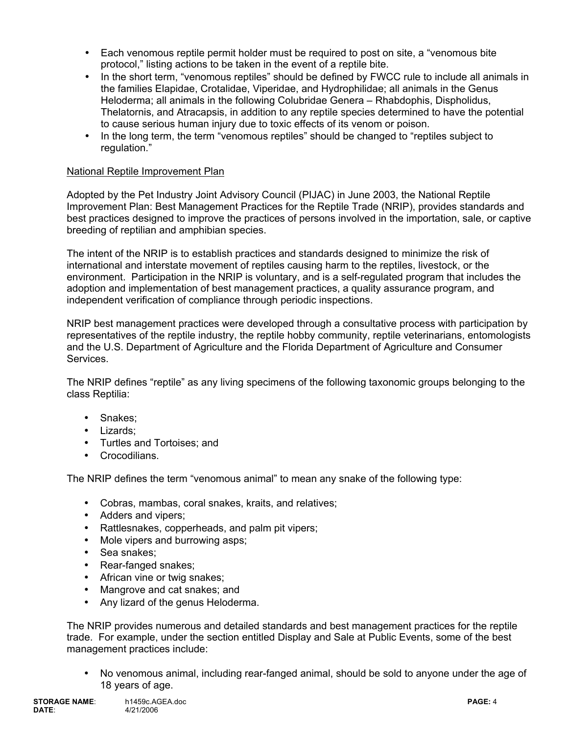- Each venomous reptile permit holder must be required to post on site, a "venomous bite protocol," listing actions to be taken in the event of a reptile bite.
- In the short term, "venomous reptiles" should be defined by FWCC rule to include all animals in the families Elapidae, Crotalidae, Viperidae, and Hydrophilidae; all animals in the Genus Heloderma; all animals in the following Colubridae Genera – Rhabdophis, Dispholidus, Thelatornis, and Atracapsis, in addition to any reptile species determined to have the potential to cause serious human injury due to toxic effects of its venom or poison.
- In the long term, the term "venomous reptiles" should be changed to "reptiles subject to regulation."

# National Reptile Improvement Plan

Adopted by the Pet Industry Joint Advisory Council (PIJAC) in June 2003, the National Reptile Improvement Plan: Best Management Practices for the Reptile Trade (NRIP), provides standards and best practices designed to improve the practices of persons involved in the importation, sale, or captive breeding of reptilian and amphibian species.

The intent of the NRIP is to establish practices and standards designed to minimize the risk of international and interstate movement of reptiles causing harm to the reptiles, livestock, or the environment. Participation in the NRIP is voluntary, and is a self-regulated program that includes the adoption and implementation of best management practices, a quality assurance program, and independent verification of compliance through periodic inspections.

NRIP best management practices were developed through a consultative process with participation by representatives of the reptile industry, the reptile hobby community, reptile veterinarians, entomologists and the U.S. Department of Agriculture and the Florida Department of Agriculture and Consumer Services.

The NRIP defines "reptile" as any living specimens of the following taxonomic groups belonging to the class Reptilia:

- Snakes;
- Lizards;
- Turtles and Tortoises; and
- Crocodilians.

The NRIP defines the term "venomous animal" to mean any snake of the following type:

- Cobras, mambas, coral snakes, kraits, and relatives;
- Adders and vipers;
- Rattlesnakes, copperheads, and palm pit vipers;
- Mole vipers and burrowing asps;
- Sea snakes;
- Rear-fanged snakes;
- African vine or twig snakes:
- Mangrove and cat snakes; and
- Any lizard of the genus Heloderma.

The NRIP provides numerous and detailed standards and best management practices for the reptile trade. For example, under the section entitled Display and Sale at Public Events, some of the best management practices include:

• No venomous animal, including rear-fanged animal, should be sold to anyone under the age of 18 years of age.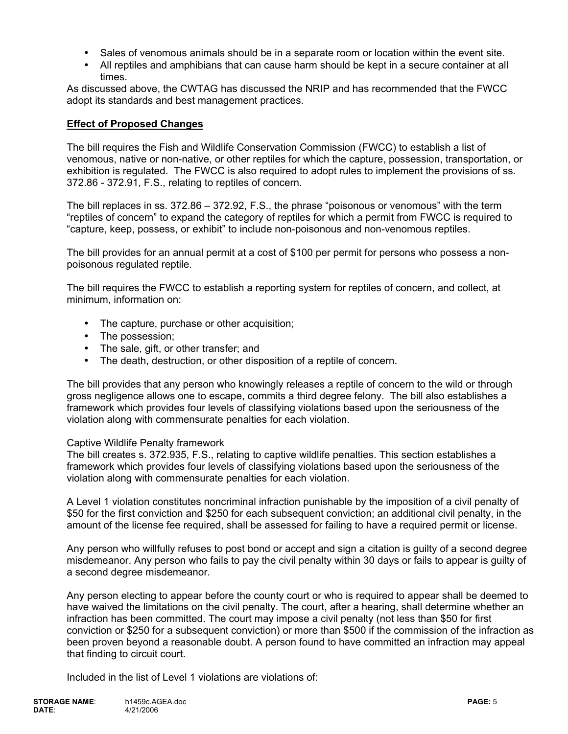- Sales of venomous animals should be in a separate room or location within the event site.
- All reptiles and amphibians that can cause harm should be kept in a secure container at all times.

As discussed above, the CWTAG has discussed the NRIP and has recommended that the FWCC adopt its standards and best management practices.

### **Effect of Proposed Changes**

The bill requires the Fish and Wildlife Conservation Commission (FWCC) to establish a list of venomous, native or non-native, or other reptiles for which the capture, possession, transportation, or exhibition is regulated. The FWCC is also required to adopt rules to implement the provisions of ss. 372.86 - 372.91, F.S., relating to reptiles of concern.

The bill replaces in ss. 372.86 – 372.92, F.S., the phrase "poisonous or venomous" with the term "reptiles of concern" to expand the category of reptiles for which a permit from FWCC is required to "capture, keep, possess, or exhibit" to include non-poisonous and non-venomous reptiles.

The bill provides for an annual permit at a cost of \$100 per permit for persons who possess a nonpoisonous regulated reptile.

The bill requires the FWCC to establish a reporting system for reptiles of concern, and collect, at minimum, information on:

- The capture, purchase or other acquisition;
- The possession;
- The sale, gift, or other transfer; and
- The death, destruction, or other disposition of a reptile of concern.

The bill provides that any person who knowingly releases a reptile of concern to the wild or through gross negligence allows one to escape, commits a third degree felony. The bill also establishes a framework which provides four levels of classifying violations based upon the seriousness of the violation along with commensurate penalties for each violation.

### Captive Wildlife Penalty framework

The bill creates s. 372.935, F.S., relating to captive wildlife penalties. This section establishes a framework which provides four levels of classifying violations based upon the seriousness of the violation along with commensurate penalties for each violation.

A Level 1 violation constitutes noncriminal infraction punishable by the imposition of a civil penalty of \$50 for the first conviction and \$250 for each subsequent conviction; an additional civil penalty, in the amount of the license fee required, shall be assessed for failing to have a required permit or license.

Any person who willfully refuses to post bond or accept and sign a citation is guilty of a second degree misdemeanor. Any person who fails to pay the civil penalty within 30 days or fails to appear is guilty of a second degree misdemeanor.

Any person electing to appear before the county court or who is required to appear shall be deemed to have waived the limitations on the civil penalty. The court, after a hearing, shall determine whether an infraction has been committed. The court may impose a civil penalty (not less than \$50 for first conviction or \$250 for a subsequent conviction) or more than \$500 if the commission of the infraction as been proven beyond a reasonable doubt. A person found to have committed an infraction may appeal that finding to circuit court.

Included in the list of Level 1 violations are violations of: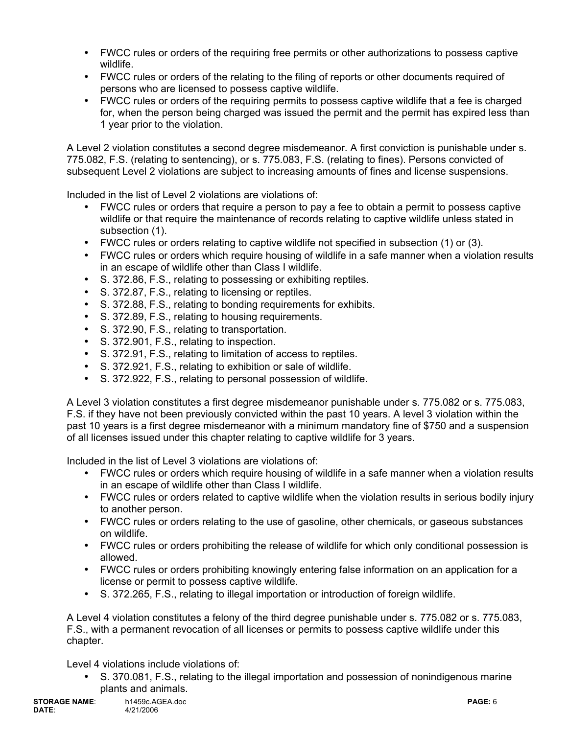- FWCC rules or orders of the requiring free permits or other authorizations to possess captive wildlife.
- FWCC rules or orders of the relating to the filing of reports or other documents required of persons who are licensed to possess captive wildlife.
- FWCC rules or orders of the requiring permits to possess captive wildlife that a fee is charged for, when the person being charged was issued the permit and the permit has expired less than 1 year prior to the violation.

A Level 2 violation constitutes a second degree misdemeanor. A first conviction is punishable under s. 775.082, F.S. (relating to sentencing), or s. 775.083, F.S. (relating to fines). Persons convicted of subsequent Level 2 violations are subject to increasing amounts of fines and license suspensions.

Included in the list of Level 2 violations are violations of:

- FWCC rules or orders that require a person to pay a fee to obtain a permit to possess captive wildlife or that require the maintenance of records relating to captive wildlife unless stated in subsection (1).
- FWCC rules or orders relating to captive wildlife not specified in subsection (1) or (3).
- FWCC rules or orders which require housing of wildlife in a safe manner when a violation results in an escape of wildlife other than Class I wildlife.
- S. 372.86, F.S., relating to possessing or exhibiting reptiles.
- S. 372.87, F.S., relating to licensing or reptiles.
- S. 372.88, F.S., relating to bonding requirements for exhibits.
- S. 372.89, F.S., relating to housing requirements.
- S. 372.90, F.S., relating to transportation.
- S. 372.901, F.S., relating to inspection.
- S. 372.91, F.S., relating to limitation of access to reptiles.
- S. 372.921, F.S., relating to exhibition or sale of wildlife.
- S. 372.922, F.S., relating to personal possession of wildlife.

A Level 3 violation constitutes a first degree misdemeanor punishable under s. 775.082 or s. 775.083, F.S. if they have not been previously convicted within the past 10 years. A level 3 violation within the past 10 years is a first degree misdemeanor with a minimum mandatory fine of \$750 and a suspension of all licenses issued under this chapter relating to captive wildlife for 3 years.

Included in the list of Level 3 violations are violations of:

- FWCC rules or orders which require housing of wildlife in a safe manner when a violation results in an escape of wildlife other than Class I wildlife.
- FWCC rules or orders related to captive wildlife when the violation results in serious bodily injury to another person.
- FWCC rules or orders relating to the use of gasoline, other chemicals, or gaseous substances on wildlife.
- FWCC rules or orders prohibiting the release of wildlife for which only conditional possession is allowed.
- FWCC rules or orders prohibiting knowingly entering false information on an application for a license or permit to possess captive wildlife.
- S. 372.265, F.S., relating to illegal importation or introduction of foreign wildlife.

A Level 4 violation constitutes a felony of the third degree punishable under s. 775.082 or s. 775.083, F.S., with a permanent revocation of all licenses or permits to possess captive wildlife under this chapter.

Level 4 violations include violations of:

• S. 370.081, F.S., relating to the illegal importation and possession of nonindigenous marine plants and animals.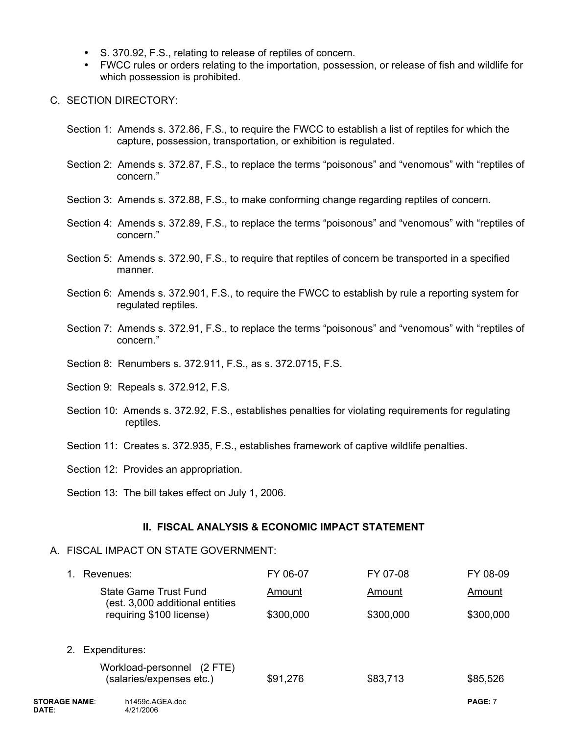- S. 370.92, F.S., relating to release of reptiles of concern.
- FWCC rules or orders relating to the importation, possession, or release of fish and wildlife for which possession is prohibited.
- C. SECTION DIRECTORY:
	- Section 1: Amends s. 372.86, F.S., to require the FWCC to establish a list of reptiles for which the capture, possession, transportation, or exhibition is regulated.
	- Section 2: Amends s. 372.87, F.S., to replace the terms "poisonous" and "venomous" with "reptiles of concern."
	- Section 3: Amends s. 372.88, F.S., to make conforming change regarding reptiles of concern.
	- Section 4: Amends s. 372.89, F.S., to replace the terms "poisonous" and "venomous" with "reptiles of concern."
	- Section 5: Amends s. 372.90, F.S., to require that reptiles of concern be transported in a specified manner.
	- Section 6: Amends s. 372.901, F.S., to require the FWCC to establish by rule a reporting system for regulated reptiles.
	- Section 7: Amends s. 372.91, F.S., to replace the terms "poisonous" and "venomous" with "reptiles of concern."
	- Section 8: Renumbers s. 372.911, F.S., as s. 372.0715, F.S.
	- Section 9: Repeals s. 372.912, F.S.
	- Section 10: Amends s. 372.92, F.S., establishes penalties for violating requirements for regulating reptiles.
	- Section 11: Creates s. 372.935, F.S., establishes framework of captive wildlife penalties.
	- Section 12: Provides an appropriation.
	- Section 13: The bill takes effect on July 1, 2006.

### **II. FISCAL ANALYSIS & ECONOMIC IMPACT STATEMENT**

### A. FISCAL IMPACT ON STATE GOVERNMENT:

|                               | Revenues:                                                | FY 06-07  | FY 07-08  | FY 08-09  |
|-------------------------------|----------------------------------------------------------|-----------|-----------|-----------|
|                               | State Game Trust Fund<br>(est. 3,000 additional entities | Amount    | Amount    | Amount    |
|                               | requiring \$100 license)                                 | \$300,000 | \$300,000 | \$300,000 |
| $2_{\cdot}$                   | Expenditures:                                            |           |           |           |
|                               | Workload-personnel (2 FTE)<br>(salaries/expenses etc.)   | \$91,276  | \$83,713  | \$85,526  |
| <b>STORAGE NAME:</b><br>DATE: | h1459c.AGEA.doc<br>4/21/2006                             |           |           | PAGE: 7   |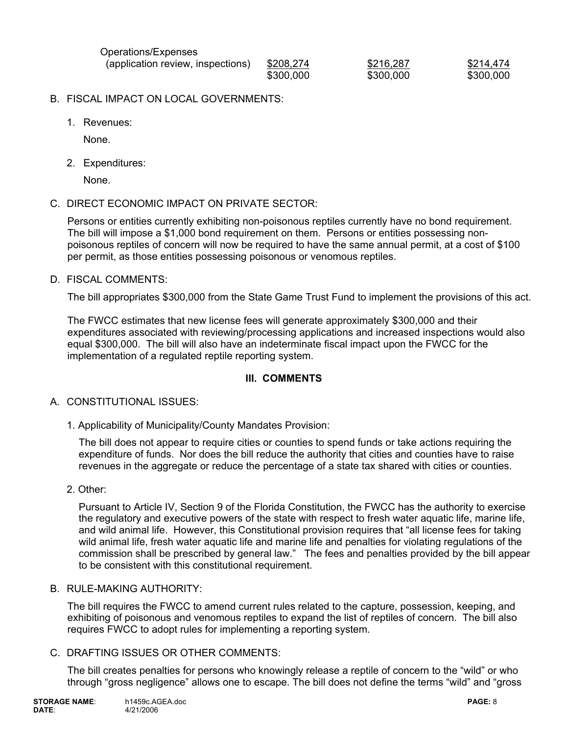| Operations/Expenses               |           |           |           |
|-----------------------------------|-----------|-----------|-----------|
| (application review, inspections) | \$208,274 | \$216,287 | \$214,474 |
|                                   | \$300,000 | \$300,000 | \$300,000 |

- B. FISCAL IMPACT ON LOCAL GOVERNMENTS:
	- 1. Revenues:

None.

2. Expenditures:

None.

C. DIRECT ECONOMIC IMPACT ON PRIVATE SECTOR:

Persons or entities currently exhibiting non-poisonous reptiles currently have no bond requirement. The bill will impose a \$1,000 bond requirement on them. Persons or entities possessing nonpoisonous reptiles of concern will now be required to have the same annual permit, at a cost of \$100 per permit, as those entities possessing poisonous or venomous reptiles.

D. FISCAL COMMENTS:

The bill appropriates \$300,000 from the State Game Trust Fund to implement the provisions of this act.

The FWCC estimates that new license fees will generate approximately \$300,000 and their expenditures associated with reviewing/processing applications and increased inspections would also equal \$300,000. The bill will also have an indeterminate fiscal impact upon the FWCC for the implementation of a regulated reptile reporting system.

# **III. COMMENTS**

### A. CONSTITUTIONAL ISSUES:

1. Applicability of Municipality/County Mandates Provision:

The bill does not appear to require cities or counties to spend funds or take actions requiring the expenditure of funds. Nor does the bill reduce the authority that cities and counties have to raise revenues in the aggregate or reduce the percentage of a state tax shared with cities or counties.

2. Other:

Pursuant to Article IV, Section 9 of the Florida Constitution, the FWCC has the authority to exercise the regulatory and executive powers of the state with respect to fresh water aquatic life, marine life, and wild animal life. However, this Constitutional provision requires that "all license fees for taking wild animal life, fresh water aquatic life and marine life and penalties for violating regulations of the commission shall be prescribed by general law." The fees and penalties provided by the bill appear to be consistent with this constitutional requirement.

### B. RULE-MAKING AUTHORITY:

The bill requires the FWCC to amend current rules related to the capture, possession, keeping, and exhibiting of poisonous and venomous reptiles to expand the list of reptiles of concern. The bill also requires FWCC to adopt rules for implementing a reporting system.

### C. DRAFTING ISSUES OR OTHER COMMENTS:

The bill creates penalties for persons who knowingly release a reptile of concern to the "wild" or who through "gross negligence" allows one to escape. The bill does not define the terms "wild" and "gross